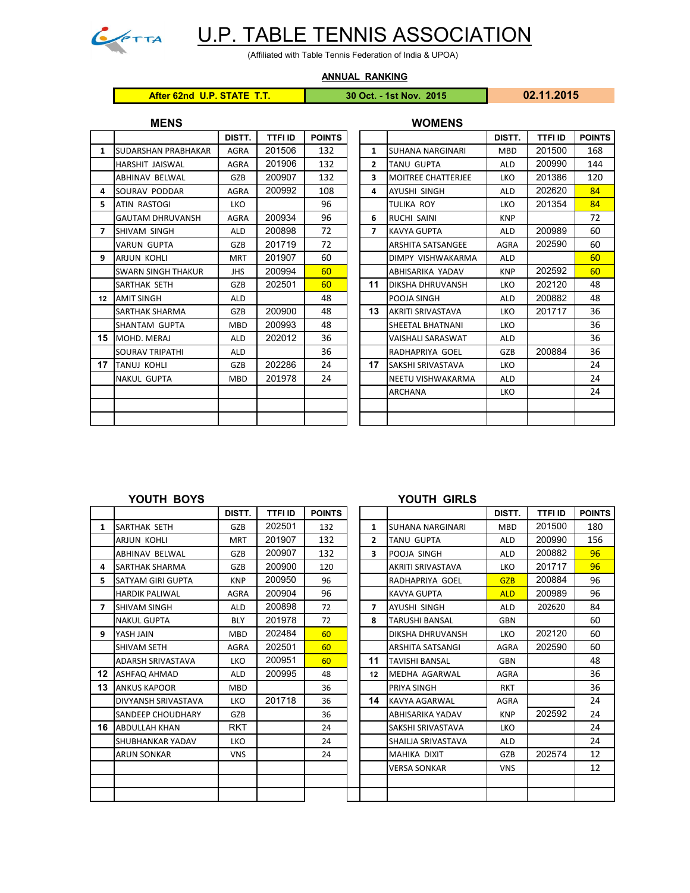

# U.P. TABLE TENNIS ASSOCIATION

(Affiliated with Table Tennis Federation of India & UPOA)

**ANNUAL RANKING**

## **After 62nd U.P. STATE T.T. 30 Oct. - 1st Nov. 2015 02.11.2015**

|                | <b>MENS</b>                |             |                |               |                | <b>WOMENS</b>             |             |               |             |
|----------------|----------------------------|-------------|----------------|---------------|----------------|---------------------------|-------------|---------------|-------------|
|                |                            | DISTT.      | <b>TTFI ID</b> | <b>POINTS</b> |                |                           | DISTT.      | <b>TTFIID</b> | <b>POIN</b> |
| 1              | <b>SUDARSHAN PRABHAKAR</b> | <b>AGRA</b> | 201506         | 132           | 1              | <b>SUHANA NARGINARI</b>   | <b>MBD</b>  | 201500        | 168         |
|                | HARSHIT JAISWAL            | <b>AGRA</b> | 201906         | 132           | $\overline{2}$ | TANU GUPTA                | <b>ALD</b>  | 200990        | 144         |
|                | <b>ABHINAV BELWAL</b>      | <b>GZB</b>  | 200907         | 132           | 3              | <b>MOITREE CHATTERJEE</b> | <b>LKO</b>  | 201386        | 120         |
| 4              | SOURAV PODDAR              | <b>AGRA</b> | 200992         | 108           | 4              | AYUSHI SINGH              | <b>ALD</b>  | 202620        | 84          |
| 5.             | <b>ATIN RASTOGI</b>        | LKO         |                | 96            |                | TULIKA ROY                | <b>LKO</b>  | 201354        | 84          |
|                | <b>GAUTAM DHRUVANSH</b>    | <b>AGRA</b> | 200934         | 96            | 6              | <b>RUCHI SAINI</b>        | <b>KNP</b>  |               | 72          |
| $\overline{ }$ | <b>SHIVAM SINGH</b>        | <b>ALD</b>  | 200898         | 72            | $\overline{7}$ | <b>KAVYA GUPTA</b>        | <b>ALD</b>  | 200989        | 60          |
|                | VARUN GUPTA                | <b>GZB</b>  | 201719         | 72            |                | <b>ARSHITA SATSANGEE</b>  | <b>AGRA</b> | 202590        | 60          |
| 9              | <b>ARJUN KOHLI</b>         | <b>MRT</b>  | 201907         | 60            |                | DIMPY VISHWAKARMA         | <b>ALD</b>  |               | 60          |
|                | <b>SWARN SINGH THAKUR</b>  | <b>JHS</b>  | 200994         | 60            |                | ABHISARIKA YADAV          | <b>KNP</b>  | 202592        | 60          |
|                | SARTHAK SETH               | <b>GZB</b>  | 202501         | 60            | 11             | <b>DIKSHA DHRUVANSH</b>   | <b>LKO</b>  | 202120        | 48          |
| 12             | <b>AMIT SINGH</b>          | <b>ALD</b>  |                | 48            |                | POOJA SINGH               | <b>ALD</b>  | 200882        | 48          |
|                | SARTHAK SHARMA             | GZB         | 200900         | 48            | 13             | <b>AKRITI SRIVASTAVA</b>  | LKO         | 201717        | 36          |
|                | SHANTAM GUPTA              | <b>MBD</b>  | 200993         | 48            |                | SHEETAL BHATNANI          | <b>LKO</b>  |               | 36          |
| 15             | MOHD, MERAJ                | <b>ALD</b>  | 202012         | 36            |                | VAISHALI SARASWAT         | <b>ALD</b>  |               | 36          |
|                | <b>SOURAV TRIPATHI</b>     | <b>ALD</b>  |                | 36            |                | RADHAPRIYA GOEL           | GZB         | 200884        | 36          |
| 17             | <b>TANUJ KOHLI</b>         | <b>GZB</b>  | 202286         | 24            | 17             | SAKSHI SRIVASTAVA         | <b>LKO</b>  |               | 24          |
|                | <b>NAKUL GUPTA</b>         | <b>MBD</b>  | 201978         | 24            |                | NEETU VISHWAKARMA         | <b>ALD</b>  |               | 24          |
|                |                            |             |                |               |                | ARCHANA                   | <b>LKO</b>  |               | 24          |
|                |                            |             |                |               |                |                           |             |               |             |
|                |                            |             |                |               |                |                           |             |               |             |

|    |                            | DISTT.      | <b>TTFI ID</b> | <b>POINTS</b> |              |                           | DISTT.     | TTFI ID | <b>POINTS</b> |
|----|----------------------------|-------------|----------------|---------------|--------------|---------------------------|------------|---------|---------------|
| 1  | <b>SUDARSHAN PRABHAKAR</b> | <b>AGRA</b> | 201506         | 132           | 1            | <b>SUHANA NARGINARI</b>   | <b>MBD</b> | 201500  | 168           |
|    | HARSHIT JAISWAL            | <b>AGRA</b> | 201906         | 132           | $\mathbf{2}$ | <b>TANU GUPTA</b>         | <b>ALD</b> | 200990  | 144           |
|    | <b>ABHINAV BELWAL</b>      | GZB         | 200907         | 132           | 3            | <b>MOITREE CHATTERJEE</b> | LKO        | 201386  | 120           |
| 4  | SOURAV PODDAR              | AGRA        | 200992         | 108           | 4            | AYUSHI SINGH              | <b>ALD</b> | 202620  | 84            |
| 5. | <b>ATIN RASTOGI</b>        | <b>LKO</b>  |                | 96            |              | TULIKA ROY                | LKO        | 201354  | 84            |
|    | <b>GAUTAM DHRUVANSH</b>    | <b>AGRA</b> | 200934         | 96            | 6            | <b>RUCHI SAINI</b>        | <b>KNP</b> |         | 72            |
| 7  | SHIVAM SINGH               | <b>ALD</b>  | 200898         | 72            | 7            | <b>KAVYA GUPTA</b>        | <b>ALD</b> | 200989  | 60            |
|    | <b>VARUN GUPTA</b>         | GZB         | 201719         | 72            |              | <b>ARSHITA SATSANGEE</b>  | AGRA       | 202590  | 60            |
| q  | <b>ARJUN KOHLI</b>         | <b>MRT</b>  | 201907         | 60            |              | DIMPY VISHWAKARMA         | <b>ALD</b> |         | 60            |
|    | <b>SWARN SINGH THAKUR</b>  | <b>JHS</b>  | 200994         | 60            |              | ABHISARIKA YADAV          | <b>KNP</b> | 202592  | 60            |
|    | <b>SARTHAK SETH</b>        | GZB         | 202501         | 60            | 11           | DIKSHA DHRUVANSH          | LKO        | 202120  | 48            |
| 12 | <b>AMIT SINGH</b>          | <b>ALD</b>  |                | 48            |              | POOJA SINGH               | <b>ALD</b> | 200882  | 48            |
|    | SARTHAK SHARMA             | GZB         | 200900         | 48            | 13           | <b>AKRITI SRIVASTAVA</b>  | <b>LKO</b> | 201717  | 36            |
|    | SHANTAM GUPTA              | <b>MBD</b>  | 200993         | 48            |              | SHEETAL BHATNANI          | <b>LKO</b> |         | 36            |
| 15 | MOHD, MERAJ                | <b>ALD</b>  | 202012         | 36            |              | <b>VAISHALI SARASWAT</b>  | <b>ALD</b> |         | 36            |
|    | <b>SOURAV TRIPATHI</b>     | <b>ALD</b>  |                | 36            |              | RADHAPRIYA GOEL           | GZB        | 200884  | 36            |
|    | <b>TANUJ KOHLI</b>         | GZB         | 202286         | 24            | 17           | SAKSHI SRIVASTAVA         | LKO        |         | 24            |
|    | <b>NAKUL GUPTA</b>         | <b>MBD</b>  | 201978         | 24            |              | NEETU VISHWAKARMA         | <b>ALD</b> |         | 24            |
|    |                            |             |                |               |              | <b>ARCHANA</b>            | <b>LKO</b> |         | 24            |
|    |                            |             |                |               |              |                           |            |         |               |
|    |                            |             |                |               |              |                           |            |         |               |

|                |                          | DISTT.      | <b>TTFI ID</b> | <b>POINTS</b> |              |                          | DISTT.      | <b>TTFI ID</b> | <b>POIN</b> |
|----------------|--------------------------|-------------|----------------|---------------|--------------|--------------------------|-------------|----------------|-------------|
| 1              | <b>SARTHAK SETH</b>      | GZB         | 202501         | 132           | 1            | <b>SUHANA NARGINARI</b>  | <b>MBD</b>  | 201500         | 180         |
|                | <b>ARJUN KOHLI</b>       | <b>MRT</b>  | 201907         | 132           | $\mathbf{z}$ | <b>TANU GUPTA</b>        | <b>ALD</b>  | 200990         | 156         |
|                | <b>ABHINAV BELWAL</b>    | GZB         | 200907         | 132           | 3.           | POOJA SINGH              | <b>ALD</b>  | 200882         | 96          |
| 4              | <b>SARTHAK SHARMA</b>    | GZB         | 200900         | 120           |              | <b>AKRITI SRIVASTAVA</b> | <b>LKO</b>  | 201717         | 96          |
| 5.             | <b>SATYAM GIRI GUPTA</b> | <b>KNP</b>  | 200950         | 96            |              | RADHAPRIYA GOEL          | <b>GZB</b>  | 200884         | 96          |
|                | <b>HARDIK PALIWAL</b>    | <b>AGRA</b> | 200904         | 96            |              | <b>KAVYA GUPTA</b>       | <b>ALD</b>  | 200989         | 96          |
| $\overline{7}$ | <b>SHIVAM SINGH</b>      | <b>ALD</b>  | 200898         | 72            | 7            | <b>AYUSHI SINGH</b>      | <b>ALD</b>  | 202620         | 84          |
|                | <b>NAKUL GUPTA</b>       | <b>BLY</b>  | 201978         | 72            | 8            | <b>TARUSHI BANSAL</b>    | <b>GBN</b>  |                | 60          |
| 9              | YASH JAIN                | <b>MBD</b>  | 202484         | 60            |              | <b>DIKSHA DHRUVANSH</b>  | <b>LKO</b>  | 202120         | 60          |
|                | SHIVAM SETH              | <b>AGRA</b> | 202501         | 60            |              | <b>ARSHITA SATSANGI</b>  | <b>AGRA</b> | 202590         | 60          |
|                | <b>ADARSH SRIVASTAVA</b> | <b>LKO</b>  | 200951         | 60            | 11           | <b>TAVISHI BANSAL</b>    | <b>GBN</b>  |                | 48          |
| 12             | ASHFAQ AHMAD             | <b>ALD</b>  | 200995         | 48            | 12           | <b>MEDHA AGARWAL</b>     | AGRA        |                | 36          |
|                | <b>13 ANKUS KAPOOR</b>   | <b>MBD</b>  |                | 36            |              | PRIYA SINGH              | <b>RKT</b>  |                | 36          |
|                | DIVYANSH SRIVASTAVA      | LKO         | 201718         | 36            | 14           | <b>KAVYA AGARWAL</b>     | <b>AGRA</b> |                | 24          |
|                | SANDEEP CHOUDHARY        | GZB         |                | 36            |              | <b>ABHISARIKA YADAV</b>  | <b>KNP</b>  | 202592         | 24          |
|                | <b>16 ABDULLAH KHAN</b>  | <b>RKT</b>  |                | 24            |              | SAKSHI SRIVASTAVA        | <b>LKO</b>  |                | 24          |
|                | SHUBHANKAR YADAV         | <b>LKO</b>  |                | 24            |              | SHAILJA SRIVASTAVA       | <b>ALD</b>  |                | 24          |
|                | <b>ARUN SONKAR</b>       | <b>VNS</b>  |                | 24            |              | <b>MAHIKA DIXIT</b>      | GZB         | 202574         | 12          |
|                |                          |             |                |               |              | <b>VERSA SONKAR</b>      | <b>VNS</b>  |                | 12          |
|                |                          |             |                |               |              |                          |             |                |             |
|                |                          |             |                |               |              |                          |             |                |             |

### **YOUTH BOYS YOUTH GIRLS**

| DISTT.      | <b>TTFI ID</b> | <b>POINTS</b> |              |                         | DISTT.      | <b>TTFIID</b> | <b>POINTS</b> |
|-------------|----------------|---------------|--------------|-------------------------|-------------|---------------|---------------|
| <b>GZB</b>  | 202501         | 132           | $\mathbf{1}$ | <b>SUHANA NARGINARI</b> | <b>MBD</b>  | 201500        | 180           |
| <b>MRT</b>  | 201907         | 132           | 2            | TANU GUPTA              | <b>ALD</b>  | 200990        | 156           |
| GZB         | 200907         | 132           | 3            | POOJA SINGH             | <b>ALD</b>  | 200882        | 96            |
| GZB         | 200900         | 120           |              | AKRITI SRIVASTAVA       | <b>LKO</b>  | 201717        | 96            |
| <b>KNP</b>  | 200950         | 96            |              | RADHAPRIYA GOEL         | <b>GZB</b>  | 200884        | 96            |
| <b>AGRA</b> | 200904         | 96            |              | <b>KAVYA GUPTA</b>      | <b>ALD</b>  | 200989        | 96            |
| ALD         | 200898         | 72            | 7            | AYUSHI SINGH            | <b>ALD</b>  | 202620        | 84            |
| <b>BLY</b>  | 201978         | 72            | 8            | TARUSHI BANSAL          | <b>GBN</b>  |               | 60            |
| <b>MBD</b>  | 202484         | 60            |              | DIKSHA DHRUVANSH        | <b>LKO</b>  | 202120        | 60            |
| <b>AGRA</b> | 202501         | 60            |              | <b>ARSHITA SATSANGI</b> | <b>AGRA</b> | 202590        | 60            |
| <b>LKO</b>  | 200951         | 60            | 11           | TAVISHI BANSAL          | GBN         |               | 48            |
| <b>ALD</b>  | 200995         | 48            | 12           | MEDHA AGARWAL           | <b>AGRA</b> |               | 36            |
| <b>MBD</b>  |                | 36            |              | PRIYA SINGH             | <b>RKT</b>  |               | 36            |
| <b>LKO</b>  | 201718         | 36            | 14           | KAVYA AGARWAL           | <b>AGRA</b> |               | 24            |
| GZB         |                | 36            |              | ABHISARIKA YADAV        | <b>KNP</b>  | 202592        | 24            |
| RKT         |                | 24            |              | SAKSHI SRIVASTAVA       | <b>LKO</b>  |               | 24            |
| LKO         |                | 24            |              | SHAILJA SRIVASTAVA      | <b>ALD</b>  |               | 24            |
| <b>VNS</b>  |                | 24            |              | <b>MAHIKA DIXIT</b>     | GZB         | 202574        | 12            |
|             |                |               |              | <b>VERSA SONKAR</b>     | <b>VNS</b>  |               | 12            |
|             |                |               |              |                         |             |               |               |
|             |                |               |              |                         |             |               |               |